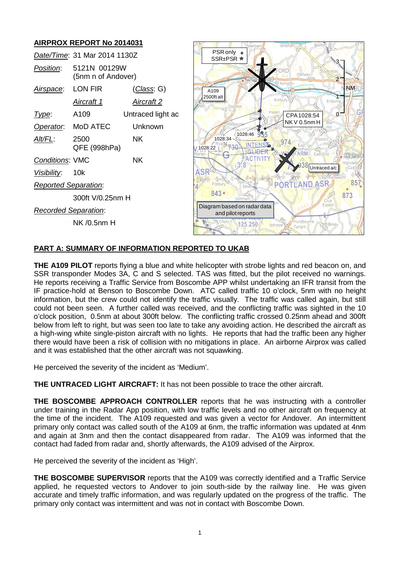# **AIRPROX REPORT No 2014031**

|                             | Date/Time: 31 Mar 2014 1130Z       |                     | PSR only o<br>SSR±PSR ★                     |
|-----------------------------|------------------------------------|---------------------|---------------------------------------------|
| Position:                   | 5121N 00129W<br>(5nm n of Andover) |                     |                                             |
| Airspace:                   | LON FIR                            | ( <i>Class</i> : G) | A109                                        |
|                             | Aircraft 1                         | <u>Aircraft 2</u>   | 2500ft alt<br>Bagsho                        |
| Type:                       | A109                               | Untraced light ac   |                                             |
| Operator.                   | MoD ATEC                           | Unknown             |                                             |
| Alt/FL:                     | 2500<br>QFE (998hPa)               | NK.                 | 1028:46<br>1028:34<br>1028:22               |
| <b>Conditions: VMC</b>      |                                    | NK.                 |                                             |
| Visibility:                 | 10k                                |                     |                                             |
| <b>Reported Separation:</b> |                                    |                     | Fosbury                                     |
|                             | 300ft V/0.25nm H                   |                     | $843 -$                                     |
| <b>Recorded Separation:</b> |                                    |                     | Diagram based on radar<br>and pilot reports |
|                             | NK /0.5nm H                        |                     | Chuta<br>125.250                            |



## **PART A: SUMMARY OF INFORMATION REPORTED TO UKAB**

**THE A109 PILOT** reports flying a blue and white helicopter with strobe lights and red beacon on, and SSR transponder Modes 3A, C and S selected. TAS was fitted, but the pilot received no warnings. He reports receiving a Traffic Service from Boscombe APP whilst undertaking an IFR transit from the IF practice-hold at Benson to Boscombe Down. ATC called traffic 10 o'clock, 5nm with no height information, but the crew could not identify the traffic visually. The traffic was called again, but still could not been seen. A further called was received, and the conflicting traffic was sighted in the 10 o'clock position, 0.5nm at about 300ft below. The conflicting traffic crossed 0.25nm ahead and 300ft below from left to right, but was seen too late to take any avoiding action. He described the aircraft as a high-wing white single-piston aircraft with no lights. He reports that had the traffic been any higher there would have been a risk of collision with no mitigations in place. An airborne Airprox was called and it was established that the other aircraft was not squawking.

He perceived the severity of the incident as 'Medium'.

**THE UNTRACED LIGHT AIRCRAFT:** It has not been possible to trace the other aircraft.

**THE BOSCOMBE APPROACH CONTROLLER** reports that he was instructing with a controller under training in the Radar App position, with low traffic levels and no other aircraft on frequency at the time of the incident. The A109 requested and was given a vector for Andover. An intermittent primary only contact was called south of the A109 at 6nm, the traffic information was updated at 4nm and again at 3nm and then the contact disappeared from radar. The A109 was informed that the contact had faded from radar and, shortly afterwards, the A109 advised of the Airprox.

He perceived the severity of the incident as 'High'.

**THE BOSCOMBE SUPERVISOR** reports that the A109 was correctly identified and a Traffic Service applied, he requested vectors to Andover to join south-side by the railway line. He was given accurate and timely traffic information, and was regularly updated on the progress of the traffic. The primary only contact was intermittent and was not in contact with Boscombe Down.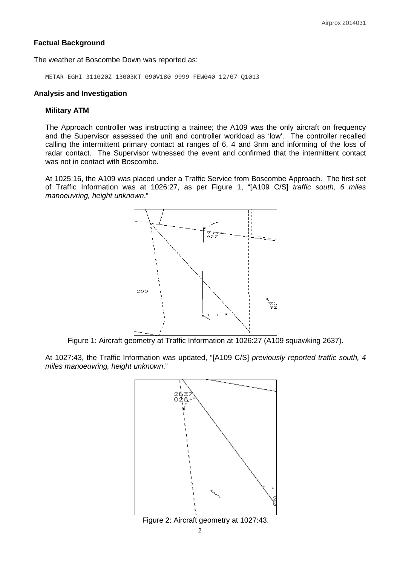## **Factual Background**

The weather at Boscombe Down was reported as:

METAR EGHI 311020Z 13003KT 090V180 9999 FEW040 12/07 Q1013

#### **Analysis and Investigation**

#### **Military ATM**

The Approach controller was instructing a trainee; the A109 was the only aircraft on frequency and the Supervisor assessed the unit and controller workload as 'low'. The controller recalled calling the intermittent primary contact at ranges of 6, 4 and 3nm and informing of the loss of radar contact. The Supervisor witnessed the event and confirmed that the intermittent contact was not in contact with Boscombe.

At 1025:16, the A109 was placed under a Traffic Service from Boscombe Approach. The first set of Traffic Information was at 1026:27, as per Figure 1, "[A109 C/S] *traffic south, 6 miles manoeuvring, height unknown*."



Figure 1: Aircraft geometry at Traffic Information at 1026:27 (A109 squawking 2637).

At 1027:43, the Traffic Information was updated, "[A109 C/S] *previously reported traffic south, 4 miles manoeuvring, height unknown*."

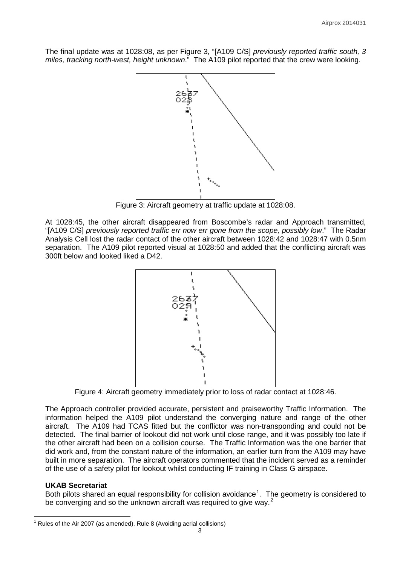The final update was at 1028:08, as per Figure 3, "[A109 C/S] *previously reported traffic south, 3 miles, tracking north-west, height unknown*." The A109 pilot reported that the crew were looking.



Figure 3: Aircraft geometry at traffic update at 1028:08.

At 1028:45, the other aircraft disappeared from Boscombe's radar and Approach transmitted, "[A109 C/S] *previously reported traffic err now err gone from the scope, possibly low*." The Radar Analysis Cell lost the radar contact of the other aircraft between 1028:42 and 1028:47 with 0.5nm separation. The A109 pilot reported visual at 1028:50 and added that the conflicting aircraft was 300ft below and looked liked a D42.



Figure 4: Aircraft geometry immediately prior to loss of radar contact at 1028:46.

The Approach controller provided accurate, persistent and praiseworthy Traffic Information. The information helped the A109 pilot understand the converging nature and range of the other aircraft. The A109 had TCAS fitted but the conflictor was non-transponding and could not be detected. The final barrier of lookout did not work until close range, and it was possibly too late if the other aircraft had been on a collision course. The Traffic Information was the one barrier that did work and, from the constant nature of the information, an earlier turn from the A109 may have built in more separation. The aircraft operators commented that the incident served as a reminder of the use of a safety pilot for lookout whilst conducting IF training in Class G airspace.

## **UKAB Secretariat**

Both pilots shared an equal responsibility for collision avoidance<sup>[1](#page-2-0)</sup>. The geometry is considered to be converging and so the unknown aircraft was required to give way.<sup>[2](#page-2-1)</sup>

<span id="page-2-1"></span><span id="page-2-0"></span> $1$  Rules of the Air 2007 (as amended), Rule 8 (Avoiding aerial collisions)